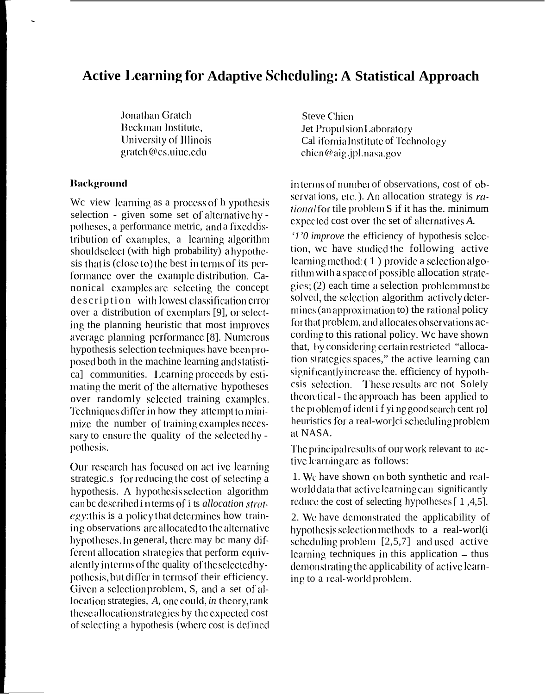## **Active Learning for Adaptive Scheduling: A Statistical Approach**

Jonathan Gratch Beckman Institute, University of Illinois gratch@cs.uiuc.edu

## **Background**

We view learning as a process of h ypothesis selection - given some set of alternative hypotheses, a performance metric, and a fixed distribution of examples, a learning algorithm should select (with high probability) a hypothesis that is (close to) the best in terms of its performance over the example distribution. Canonical examples are selecting the concept description with lowest classification error over a distribution of exemplars [9], or selecting the planning heuristic that most improves average planning performance [8]. Numerous hypothesis selection techniques have been proposed both in the machine learning and statistica] communities. Learning proceeds by estimating the merit of the alternative hypotheses over randomly selected training examples. Techniques differ in how they attempt to minimize the number of training examples necessary to ensure the quality of the selected hypothesis.

Our research has focused on act ive learning strategic.s for reducing the cost of selecting a hypothesis. A hypothesis selection algorithm can be described in terms of i ts *allocation strat*egy: this is a policy that determines how training observations are allocated to the alternative hypotheses. In general, there may be many different allocation strategies that perform equivalently interms of the quality of the selected hypothesis, but differ in terms of their efficiency. Given a selection problem, S, and a set of allocation strategies, A, one could, in theory, rank these allocation strategies by the expected cost of selecting a hypothesis (where cost is defined

**Steve Chien** Jet Propulsion Laboratory Cal ifornia Institute of Technology chien@aig.jpl.nasa.gov

interms of number of observations, cost of observations, etc.). An allocation strategy is  $ra$ tional for tile problem S if it has the. minimum expected cost over the set of alternatives A.

'1'0 improve the efficiency of hypothesis selection, we have studied the following active learning method:  $(1)$  provide a selection algorithm with a space of possible allocation strategies;  $(2)$  each time a selection problemmust be solved, the selection algorithm actively determines (an approximation to) the rational policy for that problem, and allocates observations according to this rational policy. We have shown that, by considering certain restricted "allocation strategies spaces," the active learning can significantly increase the, efficiency of hypothcsis selection. These results are not Solely theoretical - the approach has been applied to the problem of ident if ying good search cent rol heuristics for a real-wor]ci scheduling problem at NASA.

The principal results of our work relevant to active learning are as follows:

1. We have shown on both synthetic and realworld data that active learning can significantly reduce the cost of selecting hypotheses [1,4,5].

2. We have demonstrated the applicability of hypothesis selection methods to a real-worl(i scheduling problem  $[2,5,7]$  and used active learning techniques in this application – thus demonstrating the applicability of active learning to a real-world problem.